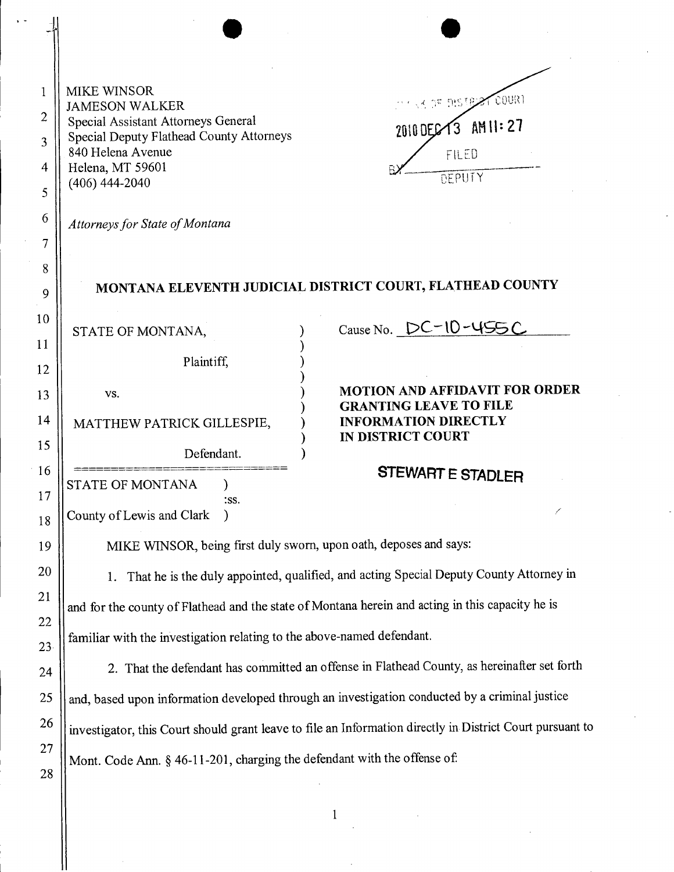| $\overline{2}$<br>3<br>4<br>5<br>6<br>7<br>8 | <b>MIKE WINSOR</b><br><b>THE RESTRATIONAL</b><br><b>JAMESON WALKER</b><br>Special Assistant Attorneys General<br>2010 DEGG13 AM 11:27<br><b>Special Deputy Flathead County Attorneys</b><br>840 Helena Avenue<br>FILED<br>Helena, MT 59601<br>DEPUTY<br>$(406)$ 444-2040<br>Attorneys for State of Montana |
|----------------------------------------------|------------------------------------------------------------------------------------------------------------------------------------------------------------------------------------------------------------------------------------------------------------------------------------------------------------|
| 9                                            | MONTANA ELEVENTH JUDICIAL DISTRICT COURT, FLATHEAD COUNTY                                                                                                                                                                                                                                                  |
| 10<br>11<br>12                               | Cause No. $DC-10-455C$<br>STATE OF MONTANA,<br>Plaintiff,                                                                                                                                                                                                                                                  |
| 13                                           | <b>MOTION AND AFFIDAVIT FOR ORDER</b><br>VS.                                                                                                                                                                                                                                                               |
| 14                                           | <b>GRANTING LEAVE TO FILE</b><br><b>INFORMATION DIRECTLY</b><br>MATTHEW PATRICK GILLESPIE,<br><b>IN DISTRICT COURT</b>                                                                                                                                                                                     |
| 15<br>16                                     | Defendant.                                                                                                                                                                                                                                                                                                 |
| 17                                           | STEWART E STADLER<br><b>STATE OF MONTANA</b><br>:SS.                                                                                                                                                                                                                                                       |
| 18                                           | €<br>County of Lewis and Clark )                                                                                                                                                                                                                                                                           |
| 19                                           | MIKE WINSOR, being first duly sworn, upon oath, deposes and says:                                                                                                                                                                                                                                          |
| 20                                           | That he is the duly appointed, qualified, and acting Special Deputy County Attorney in<br>1.                                                                                                                                                                                                               |
| 21                                           | and for the county of Flathead and the state of Montana herein and acting in this capacity he is                                                                                                                                                                                                           |
| 22<br>23 <sup>1</sup>                        | familiar with the investigation relating to the above-named defendant.                                                                                                                                                                                                                                     |
| 24                                           | 2. That the defendant has committed an offense in Flathead County, as hereinafter set forth                                                                                                                                                                                                                |
| 25                                           | and, based upon information developed through an investigation conducted by a criminal justice                                                                                                                                                                                                             |
| 26                                           | investigator, this Court should grant leave to file an Information directly in District Court pursuant to                                                                                                                                                                                                  |
| 27<br>28                                     | Mont. Code Ann. § 46-11-201, charging the defendant with the offense of:                                                                                                                                                                                                                                   |
|                                              |                                                                                                                                                                                                                                                                                                            |

 $\label{eq:1} \begin{array}{c} \mathbf{1} & \mathbb{I}_{\{1,2,3\}} \\ \mathbb{I}_{\{1,2,3\}} & \mathbb{I}_{\{1,2,3\}} \\ \mathbb{I}_{\{1,2,3\}} & \mathbb{I}_{\{1,2,3\}} \\ \mathbb{I}_{\{1,2,3\}} & \mathbb{I}_{\{1,2,3\}} \\ \mathbb{I}_{\{1,2,3\}} & \mathbb{I}_{\{1,2,3\}} \\ \mathbb{I}_{\{1,2,3\}} & \mathbb{I}_{\{1,2,3\}} \\ \mathbb{I}_{\{1,2,3\}} & \mathbb{I}_{\$ 

 $\hat{\mathcal{L}}$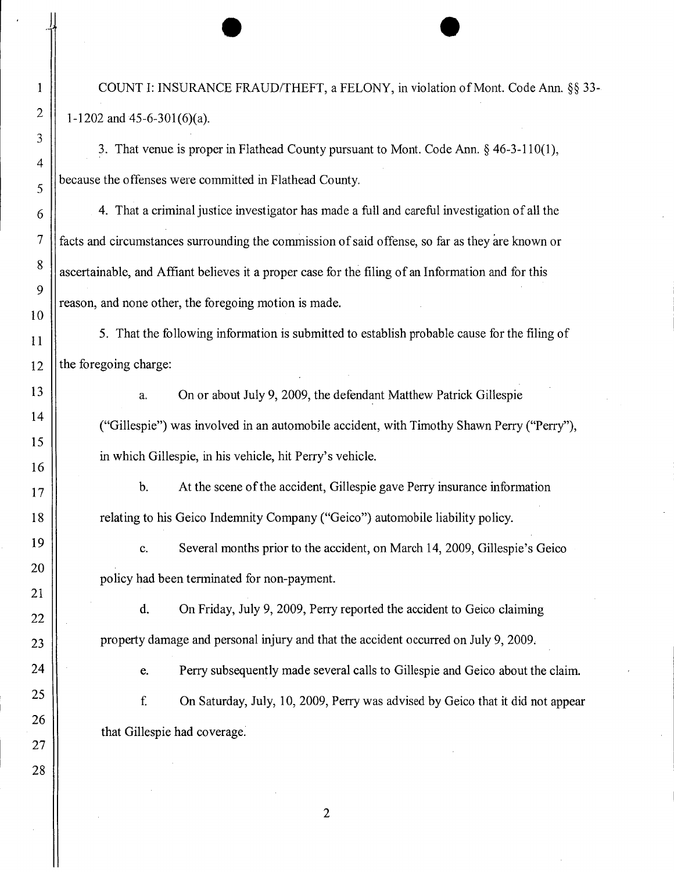COUNT I: INSURANCE FRAUD/THEFT, a FELONY, in violation of Mont. Code Ann.  $\S$ § 33-1-1202 and 45-6-301(6)(a). 3. That venue is proper in Flathead County pursuant to Mont. Code Ann.  $\S$  46-3-110(1),

because the offenses were committed in Flathead County.

4. That a criminal justice investigator has made a full and careful investigation of all the facts and circumstances surrounding the commission of said offense, so far as they are known or ascertainable, and Affiant believes it a proper case for the filing of an Information and for this reason, and none other, the foregoing motion is made.

5. That the following information is submitted to establish probable cause for the filing of the foregoing charge:

a. On or about July 9,2009, the defendant Matthew Patrick Gillespie ("Gillespie") was involved in an automobile accident, with Timothy Shawn Perry ("Perry"), in which Gillespie, in his vehicle, hit Perry's vehicle.

b. At the scene of the accident, Gillespie gave Perry insurance information relating to his Geico Indemnity Company ("Geico") automobile liability policy.

c. Several months prior to the accident, on March 14, 2009, Gillespie's Geico policy had been terminated for non-payment.

d. On Friday, July 9,2009, Perry reported the accident to Geico claiming property damage and personal injury and that the accident occurred on July 9,2009.

e. Perry subsequently made several calls to Gillespie and Geico about the claim.

£ On Saturday, July, 10, 2009, Perry was advised by Geico that it did not appear that Gillespie had coverage.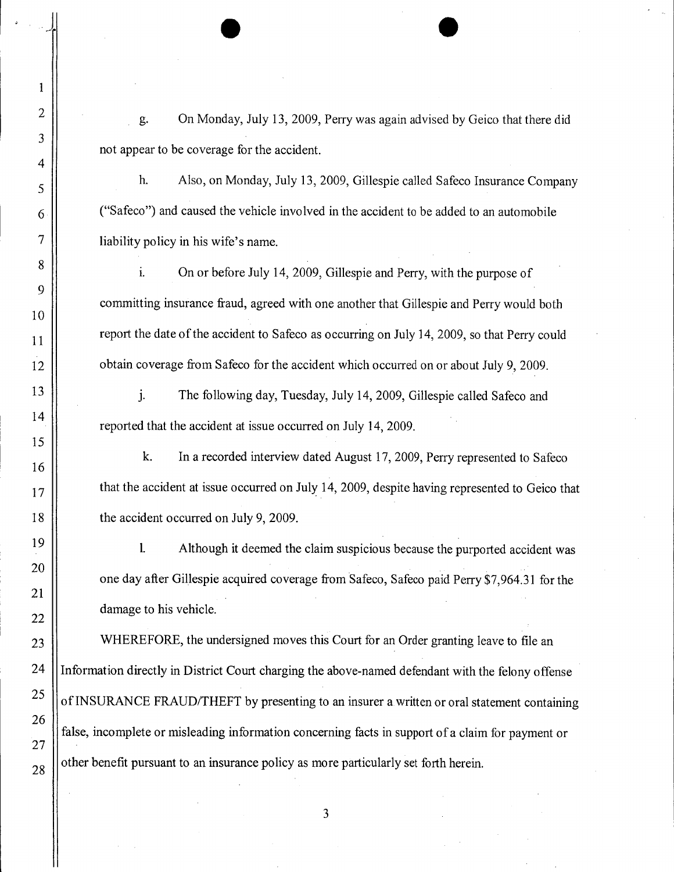g. On Monday, July 13, 2009, Perry was again advised by Geico that there did not appear to be coverage for the accident.

1

2

3

4

5

6

7

8

9

10

11

12

13

14

15

16

17

18

19

20

21

22

23

24

25

26

27

28

h. Also, on Monday, July 13, 2009, Gillespie called Safeco Insurance Company ("Safeco") and caused the vehicle involved in the accident to be added to an automobile liability policy in his wife's name.

1. On or before July 14, 2009, Gillespie and Perry, with the purpose of committing insurance fraud, agreed with one another that Gillespie and Perry would both report the date of the accident to Safeco as occurring on July 14, 2009, so that Perry could obtain coverage from Safeco for the accident which occurred on or about July 9, 2009.

j. The following day, Tuesday, July 14, 2009, Gillespie called Safeco and reported that the accident at issue occurred on July 14,2009.

k. In a recorded interview dated August 17,2009, Perry represented to Safeco that the accident at issue occurred on July 14, 2009, despite having represented to Geico that the accident occurred on July 9,2009.

1. Although it deemed the claim suspicious because the purported accident was one day after Gillespie acquired coverage from Safeco, Safeco paid Perry \$7,964.31 for the damage to his vehicle.

WHEREFORE, the undersigned moves this Court for an Order granting leave to file an Information directly in District Court charging the above-named defendant with the felony offense ofINSURANCE FRAUD/THEFT by presenting to an insurer awritten or oral statement containing false, incomplete or misleading information concerning facts in support of a claim for payment or other benefit pursuant to an insurance policy as more particularly set forth herein.

3